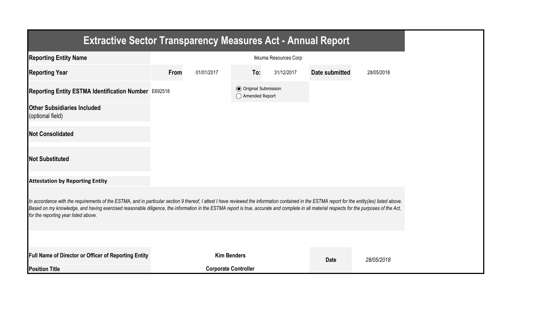| <b>Extractive Sector Transparency Measures Act - Annual Report</b>                                                                                                                                                                                                                                                                                                                                                                    |      |                             |                                                  |                       |                |            |
|---------------------------------------------------------------------------------------------------------------------------------------------------------------------------------------------------------------------------------------------------------------------------------------------------------------------------------------------------------------------------------------------------------------------------------------|------|-----------------------------|--------------------------------------------------|-----------------------|----------------|------------|
| <b>Reporting Entity Name</b>                                                                                                                                                                                                                                                                                                                                                                                                          |      |                             |                                                  | Ikkuma Resources Corp |                |            |
| <b>Reporting Year</b>                                                                                                                                                                                                                                                                                                                                                                                                                 | From | 01/01/2017                  | To:                                              | 31/12/2017            | Date submitted | 28/05/2018 |
| Reporting Entity ESTMA Identification Number E692518                                                                                                                                                                                                                                                                                                                                                                                  |      |                             | <b>◎</b> Original Submission<br>◯ Amended Report |                       |                |            |
| <b>Other Subsidiaries Included</b><br>(optional field)                                                                                                                                                                                                                                                                                                                                                                                |      |                             |                                                  |                       |                |            |
| <b>Not Consolidated</b>                                                                                                                                                                                                                                                                                                                                                                                                               |      |                             |                                                  |                       |                |            |
| <b>Not Substituted</b>                                                                                                                                                                                                                                                                                                                                                                                                                |      |                             |                                                  |                       |                |            |
| <b>Attestation by Reporting Entity</b>                                                                                                                                                                                                                                                                                                                                                                                                |      |                             |                                                  |                       |                |            |
| In accordance with the requirements of the ESTMA, and in particular section 9 thereof, I attest I have reviewed the information contained in the ESTMA report for the entity(ies) listed above.<br>Based on my knowledge, and having exercised reasonable diligence, the information in the ESTMA report is true, accurate and complete in all material respects for the purposes of the Act,<br>for the reporting year listed above. |      |                             |                                                  |                       |                |            |
|                                                                                                                                                                                                                                                                                                                                                                                                                                       |      |                             |                                                  |                       |                |            |
| Full Name of Director or Officer of Reporting Entity                                                                                                                                                                                                                                                                                                                                                                                  |      | <b>Kim Benders</b>          |                                                  |                       | <b>Date</b>    | 28/05/2018 |
| <b>Position Title</b>                                                                                                                                                                                                                                                                                                                                                                                                                 |      | <b>Corporate Controller</b> |                                                  |                       |                |            |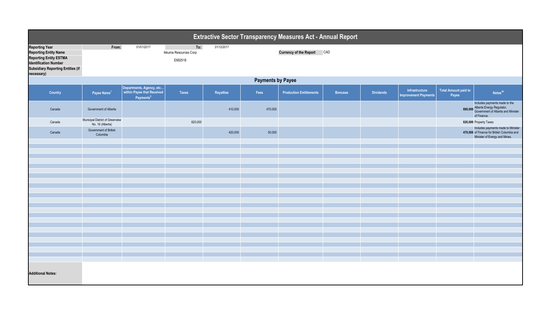|                                                                                                                                                                                  | Extractive Sector Transparency Measures Act - Annual Report |                                                                                 |                                         |                  |         |                                   |                |                  |                                               |                               |                                                                                                                         |  |
|----------------------------------------------------------------------------------------------------------------------------------------------------------------------------------|-------------------------------------------------------------|---------------------------------------------------------------------------------|-----------------------------------------|------------------|---------|-----------------------------------|----------------|------------------|-----------------------------------------------|-------------------------------|-------------------------------------------------------------------------------------------------------------------------|--|
| <b>Reporting Year</b><br><b>Reporting Entity Name</b><br><b>Reporting Entity ESTMA</b><br><b>Identification Number</b><br><b>Subsidiary Reporting Entities (if</b><br>necessary) | From:                                                       | 01/01/2017                                                                      | To:<br>Ikkuma Resources Corp<br>E692518 | 31/12/2017       |         | <b>Currency of the Report CAD</b> |                |                  |                                               |                               |                                                                                                                         |  |
|                                                                                                                                                                                  | <b>Payments by Payee</b>                                    |                                                                                 |                                         |                  |         |                                   |                |                  |                                               |                               |                                                                                                                         |  |
| Country                                                                                                                                                                          | Payee Name <sup>1</sup>                                     | Departments, Agency, etc<br>within Payee that Received<br>Payments <sup>2</sup> | <b>Taxes</b>                            | <b>Royalties</b> | Fees    | <b>Production Entitlements</b>    | <b>Bonuses</b> | <b>Dividends</b> | Infrastructure<br><b>Improvement Payments</b> | Total Amount paid to<br>Payee | Notes <sup>34</sup>                                                                                                     |  |
| Canada                                                                                                                                                                           | Government of Alberta                                       |                                                                                 |                                         | 410,000          | 470,000 |                                   |                |                  |                                               |                               | Includes payments made to the<br>880,000 Alberta Energy Regulator,<br>Government of Alberta and Minister<br>of Finance. |  |
| Canada                                                                                                                                                                           | Municipal District of Greenview<br>No. 16 (Alberta)         |                                                                                 | 820,000                                 |                  |         |                                   |                |                  |                                               |                               | 820,000 Property Taxes                                                                                                  |  |
| Canada                                                                                                                                                                           | Government of British<br>Columbia                           |                                                                                 |                                         | 420,000          | 50,000  |                                   |                |                  |                                               |                               | Includes payments made to Minister<br>470,000 of Finance for British Columbia and<br>Minister of Energy and Mines.      |  |
|                                                                                                                                                                                  |                                                             |                                                                                 |                                         |                  |         |                                   |                |                  |                                               |                               |                                                                                                                         |  |
|                                                                                                                                                                                  |                                                             |                                                                                 |                                         |                  |         |                                   |                |                  |                                               |                               |                                                                                                                         |  |
|                                                                                                                                                                                  |                                                             |                                                                                 |                                         |                  |         |                                   |                |                  |                                               |                               |                                                                                                                         |  |
|                                                                                                                                                                                  |                                                             |                                                                                 |                                         |                  |         |                                   |                |                  |                                               |                               |                                                                                                                         |  |
|                                                                                                                                                                                  |                                                             |                                                                                 |                                         |                  |         |                                   |                |                  |                                               |                               |                                                                                                                         |  |
|                                                                                                                                                                                  |                                                             |                                                                                 |                                         |                  |         |                                   |                |                  |                                               |                               |                                                                                                                         |  |
|                                                                                                                                                                                  |                                                             |                                                                                 |                                         |                  |         |                                   |                |                  |                                               |                               |                                                                                                                         |  |
|                                                                                                                                                                                  |                                                             |                                                                                 |                                         |                  |         |                                   |                |                  |                                               |                               |                                                                                                                         |  |
|                                                                                                                                                                                  |                                                             |                                                                                 |                                         |                  |         |                                   |                |                  |                                               |                               |                                                                                                                         |  |
|                                                                                                                                                                                  |                                                             |                                                                                 |                                         |                  |         |                                   |                |                  |                                               |                               |                                                                                                                         |  |
|                                                                                                                                                                                  |                                                             |                                                                                 |                                         |                  |         |                                   |                |                  |                                               |                               |                                                                                                                         |  |
|                                                                                                                                                                                  |                                                             |                                                                                 |                                         |                  |         |                                   |                |                  |                                               |                               |                                                                                                                         |  |
|                                                                                                                                                                                  |                                                             |                                                                                 |                                         |                  |         |                                   |                |                  |                                               |                               |                                                                                                                         |  |
|                                                                                                                                                                                  |                                                             |                                                                                 |                                         |                  |         |                                   |                |                  |                                               |                               |                                                                                                                         |  |
|                                                                                                                                                                                  |                                                             |                                                                                 |                                         |                  |         |                                   |                |                  |                                               |                               |                                                                                                                         |  |
|                                                                                                                                                                                  |                                                             |                                                                                 |                                         |                  |         |                                   |                |                  |                                               |                               |                                                                                                                         |  |
|                                                                                                                                                                                  |                                                             |                                                                                 |                                         |                  |         |                                   |                |                  |                                               |                               |                                                                                                                         |  |
|                                                                                                                                                                                  |                                                             |                                                                                 |                                         |                  |         |                                   |                |                  |                                               |                               |                                                                                                                         |  |
| <b>Additional Notes:</b>                                                                                                                                                         |                                                             |                                                                                 |                                         |                  |         |                                   |                |                  |                                               |                               |                                                                                                                         |  |